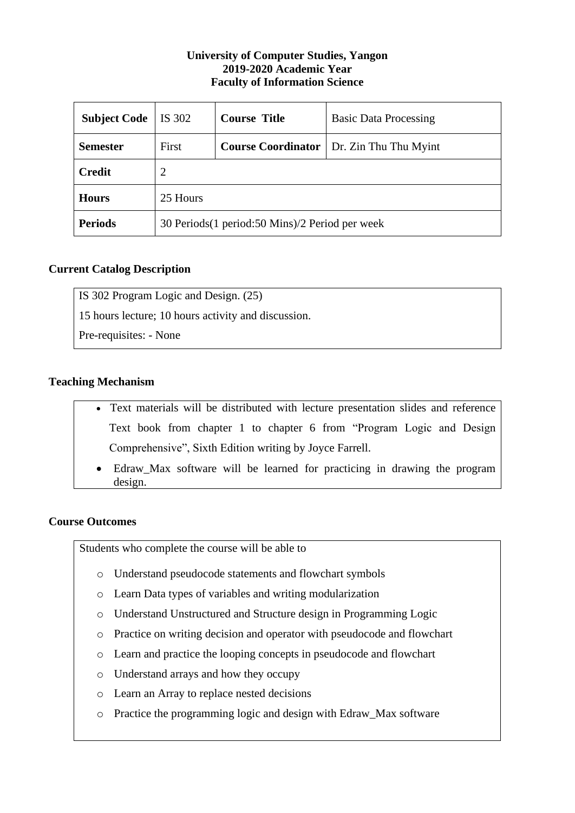#### **University of Computer Studies, Yangon 2019-2020 Academic Year Faculty of Information Science**

| <b>Subject Code</b> | IS 302                                             | <b>Course Title</b> | <b>Basic Data Processing</b>                      |  |  |  |
|---------------------|----------------------------------------------------|---------------------|---------------------------------------------------|--|--|--|
| <b>Semester</b>     | First                                              |                     | <b>Course Coordinator</b>   Dr. Zin Thu Thu Myint |  |  |  |
| <b>Credit</b>       | 2                                                  |                     |                                                   |  |  |  |
| <b>Hours</b>        | 25 Hours                                           |                     |                                                   |  |  |  |
| <b>Periods</b>      | 30 Periods (1 period: 50 Mins) / 2 Period per week |                     |                                                   |  |  |  |

## **Current Catalog Description**

IS 302 Program Logic and Design. (25)

15 hours lecture; 10 hours activity and discussion.

Pre-requisites: - None

## **Teaching Mechanism**

- Text materials will be distributed with lecture presentation slides and reference Text book from chapter 1 to chapter 6 from "Program Logic and Design Comprehensive", Sixth Edition writing by Joyce Farrell.
- Edraw\_Max software will be learned for practicing in drawing the program design.

### **Course Outcomes**

Students who complete the course will be able to

- o Understand pseudocode statements and flowchart symbols
- o Learn Data types of variables and writing modularization
- o Understand Unstructured and Structure design in Programming Logic
- o Practice on writing decision and operator with pseudocode and flowchart
- o Learn and practice the looping concepts in pseudocode and flowchart
- o Understand arrays and how they occupy
- o Learn an Array to replace nested decisions
- o Practice the programming logic and design with Edraw\_Max software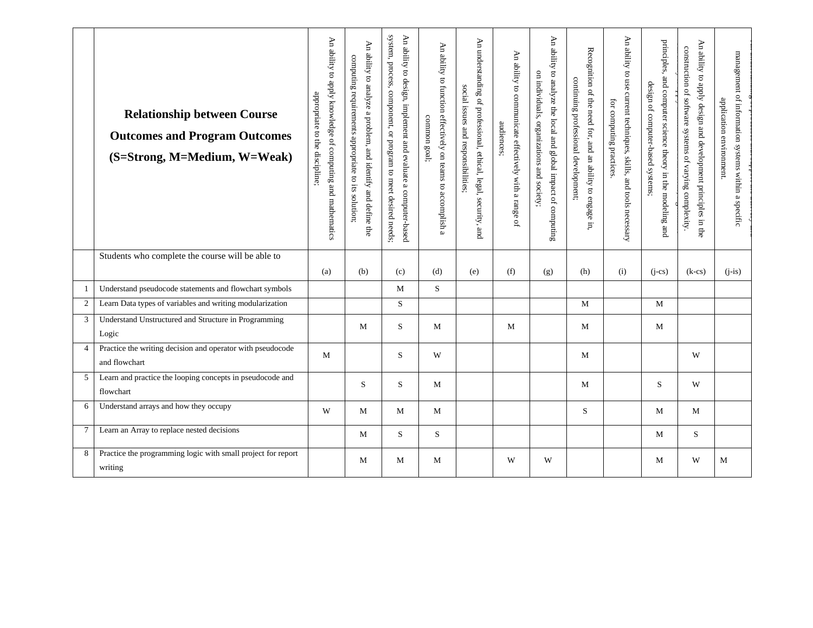|                 | <b>Relationship between Course</b><br><b>Outcomes and Program Outcomes</b><br>(S=Strong, M=Medium, W=Weak) | An ability to apply knowledge of computing and mathematics<br>appropriate to the discipline: | $\forall$<br>ability to analyze a problem, and identify and define the<br>computing<br>requirements<br>appropriate<br>$\overline{5}$<br>sii<br>solution | system,<br>An ability to design, implement and evaluate a computer-based<br>process, component,<br>$\alpha$ margoran to<br>meet desired<br>I needs; | An ability to function effectively on teams to accomplish a<br>common goal; | An understanding of professional, ethical, legal, security, and<br>social issues and responsibilities; | An ability to communicate effectively with a range of<br>audiences; | An ability to analyze the local and global impact of computing<br>on individuals, organizations and society; | Recognition of the need for, and an ability to engage in<br>continuing professional development; | An ability to use current techniques, skills, and tools necessary<br>for computing practices | principles,<br>and computer science theory in the modeling and<br>design of computer-based systems; | An ability to apply design and development principles in the<br>construction of software systems of varying complexity | management of information systems within a specific<br>application environment. |
|-----------------|------------------------------------------------------------------------------------------------------------|----------------------------------------------------------------------------------------------|---------------------------------------------------------------------------------------------------------------------------------------------------------|-----------------------------------------------------------------------------------------------------------------------------------------------------|-----------------------------------------------------------------------------|--------------------------------------------------------------------------------------------------------|---------------------------------------------------------------------|--------------------------------------------------------------------------------------------------------------|--------------------------------------------------------------------------------------------------|----------------------------------------------------------------------------------------------|-----------------------------------------------------------------------------------------------------|------------------------------------------------------------------------------------------------------------------------|---------------------------------------------------------------------------------|
|                 | Students who complete the course will be able to                                                           | (a)                                                                                          | (b)                                                                                                                                                     | (c)                                                                                                                                                 | (d)                                                                         | (e)                                                                                                    | (f)                                                                 | (g)                                                                                                          | (h)                                                                                              | (i)                                                                                          | $(i-cs)$                                                                                            | $(k-cs)$                                                                                                               | $(i-is)$                                                                        |
| -1              | Understand pseudocode statements and flowchart symbols                                                     |                                                                                              |                                                                                                                                                         | M                                                                                                                                                   | S                                                                           |                                                                                                        |                                                                     |                                                                                                              |                                                                                                  |                                                                                              |                                                                                                     |                                                                                                                        |                                                                                 |
| $\overline{c}$  | Learn Data types of variables and writing modularization                                                   |                                                                                              |                                                                                                                                                         | S                                                                                                                                                   |                                                                             |                                                                                                        |                                                                     |                                                                                                              | $\mathbf M$                                                                                      |                                                                                              | M                                                                                                   |                                                                                                                        |                                                                                 |
| 3               | Understand Unstructured and Structure in Programming<br>Logic                                              |                                                                                              | M                                                                                                                                                       | S.                                                                                                                                                  | M                                                                           |                                                                                                        | M                                                                   |                                                                                                              | M                                                                                                |                                                                                              | M                                                                                                   |                                                                                                                        |                                                                                 |
| 4               | Practice the writing decision and operator with pseudocode<br>and flowchart                                | M                                                                                            |                                                                                                                                                         | S                                                                                                                                                   | W                                                                           |                                                                                                        |                                                                     |                                                                                                              | M                                                                                                |                                                                                              |                                                                                                     | W                                                                                                                      |                                                                                 |
| 5               | Learn and practice the looping concepts in pseudocode and<br>flowchart                                     |                                                                                              | S                                                                                                                                                       | S                                                                                                                                                   | $\mathbf{M}$                                                                |                                                                                                        |                                                                     |                                                                                                              | M                                                                                                |                                                                                              | S                                                                                                   | W                                                                                                                      |                                                                                 |
| 6               | Understand arrays and how they occupy                                                                      | W                                                                                            | M                                                                                                                                                       | M                                                                                                                                                   | M                                                                           |                                                                                                        |                                                                     |                                                                                                              | S.                                                                                               |                                                                                              | M                                                                                                   | M                                                                                                                      |                                                                                 |
| $7\phantom{.0}$ | Learn an Array to replace nested decisions                                                                 |                                                                                              | M                                                                                                                                                       | S                                                                                                                                                   | S                                                                           |                                                                                                        |                                                                     |                                                                                                              |                                                                                                  |                                                                                              | $\mathbf M$                                                                                         | S                                                                                                                      |                                                                                 |
| 8               | Practice the programming logic with small project for report<br>writing                                    |                                                                                              | M                                                                                                                                                       | M                                                                                                                                                   | M                                                                           |                                                                                                        | W                                                                   | W                                                                                                            |                                                                                                  |                                                                                              | M                                                                                                   | W                                                                                                                      | M                                                                               |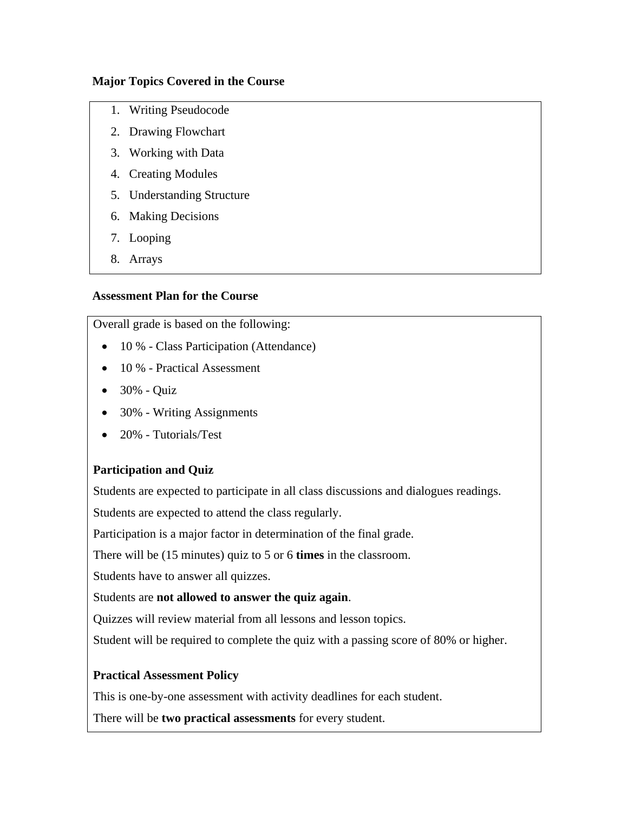#### **Major Topics Covered in the Course**

- 1. Writing Pseudocode
- 2. Drawing Flowchart
- 3. Working with Data
- 4. Creating Modules
- 5. Understanding Structure
- 6. Making Decisions
- 7. Looping
- 8. Arrays

#### **Assessment Plan for the Course**

Overall grade is based on the following:

- 10 % Class Participation (Attendance)
- 10 % Practical Assessment
- 30% Quiz
- 30% Writing Assignments
- 20% Tutorials/Test

# **Participation and Quiz**

Students are expected to participate in all class discussions and dialogues readings.

Students are expected to attend the class regularly.

Participation is a major factor in determination of the final grade.

There will be (15 minutes) quiz to 5 or 6 **times** in the classroom.

Students have to answer all quizzes.

#### Students are **not allowed to answer the quiz again**.

Quizzes will review material from all lessons and lesson topics.

Student will be required to complete the quiz with a passing score of 80% or higher.

#### **Practical Assessment Policy**

This is one-by-one assessment with activity deadlines for each student.

There will be **two practical assessments** for every student.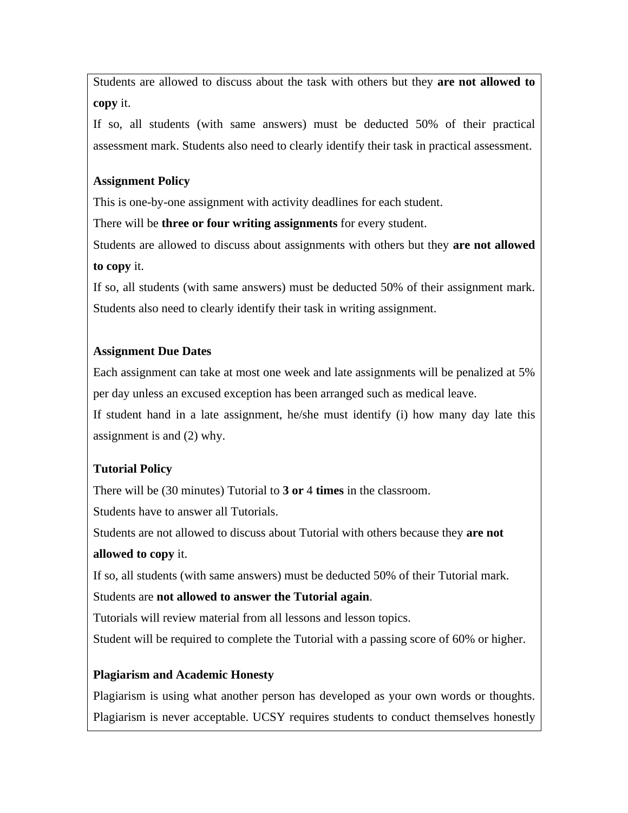Students are allowed to discuss about the task with others but they **are not allowed to copy** it.

If so, all students (with same answers) must be deducted 50% of their practical assessment mark. Students also need to clearly identify their task in practical assessment.

### **Assignment Policy**

This is one-by-one assignment with activity deadlines for each student.

There will be **three or four writing assignments** for every student.

Students are allowed to discuss about assignments with others but they **are not allowed to copy** it.

If so, all students (with same answers) must be deducted 50% of their assignment mark. Students also need to clearly identify their task in writing assignment.

# **Assignment Due Dates**

Each assignment can take at most one week and late assignments will be penalized at 5% per day unless an excused exception has been arranged such as medical leave.

If student hand in a late assignment, he/she must identify (i) how many day late this assignment is and (2) why.

# **Tutorial Policy**

There will be (30 minutes) Tutorial to **3 or** 4 **times** in the classroom.

Students have to answer all Tutorials.

Students are not allowed to discuss about Tutorial with others because they **are not allowed to copy** it.

If so, all students (with same answers) must be deducted 50% of their Tutorial mark.

# Students are **not allowed to answer the Tutorial again**.

Tutorials will review material from all lessons and lesson topics.

Student will be required to complete the Tutorial with a passing score of 60% or higher.

# **Plagiarism and Academic Honesty**

Plagiarism is using what another person has developed as your own words or thoughts. Plagiarism is never acceptable. UCSY requires students to conduct themselves honestly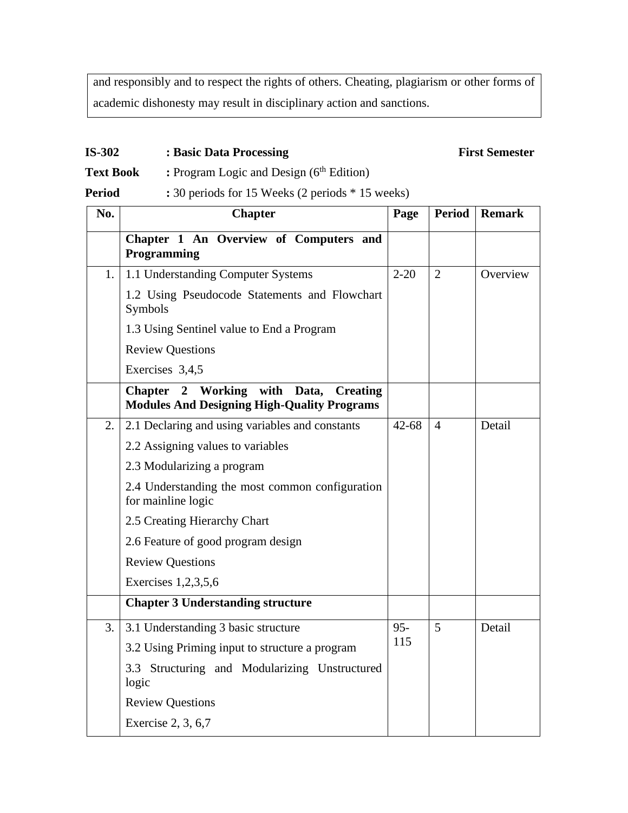and responsibly and to respect the rights of others. Cheating, plagiarism or other forms of academic dishonesty may result in disciplinary action and sanctions.

#### **IS-302 : Basic Data Processing First Semester**

**Text Book :** Program Logic and Design (6<sup>th</sup> Edition)

**Period :** 30 periods for 15 Weeks (2 periods \* 15 weeks)

| No. | <b>Chapter</b>                                                                                    | Page          | <b>Period</b>  | <b>Remark</b> |
|-----|---------------------------------------------------------------------------------------------------|---------------|----------------|---------------|
|     | Chapter 1 An Overview of Computers and<br>Programming                                             |               |                |               |
| 1.  | 1.1 Understanding Computer Systems                                                                | $2 - 20$      | $\overline{2}$ | Overview      |
|     | 1.2 Using Pseudocode Statements and Flowchart<br>Symbols                                          |               |                |               |
|     | 1.3 Using Sentinel value to End a Program                                                         |               |                |               |
|     | <b>Review Questions</b>                                                                           |               |                |               |
|     | Exercises 3,4,5                                                                                   |               |                |               |
|     | Working<br>with Data, Creating<br>Chapter 2<br><b>Modules And Designing High-Quality Programs</b> |               |                |               |
| 2.  | 2.1 Declaring and using variables and constants                                                   | $42 - 68$     | $\overline{4}$ | Detail        |
|     | 2.2 Assigning values to variables                                                                 |               |                |               |
|     | 2.3 Modularizing a program                                                                        |               |                |               |
|     | 2.4 Understanding the most common configuration<br>for mainline logic                             |               |                |               |
|     | 2.5 Creating Hierarchy Chart                                                                      |               |                |               |
|     | 2.6 Feature of good program design                                                                |               |                |               |
|     | <b>Review Questions</b>                                                                           |               |                |               |
|     | Exercises 1,2,3,5,6                                                                               |               |                |               |
|     | <b>Chapter 3 Understanding structure</b>                                                          |               |                |               |
| 3.  | 3.1 Understanding 3 basic structure                                                               | $95 -$<br>115 | 5              | Detail        |
|     | 3.2 Using Priming input to structure a program                                                    |               |                |               |
|     | 3.3 Structuring and Modularizing Unstructured<br>logic                                            |               |                |               |
|     | <b>Review Questions</b>                                                                           |               |                |               |
|     | Exercise 2, 3, 6,7                                                                                |               |                |               |